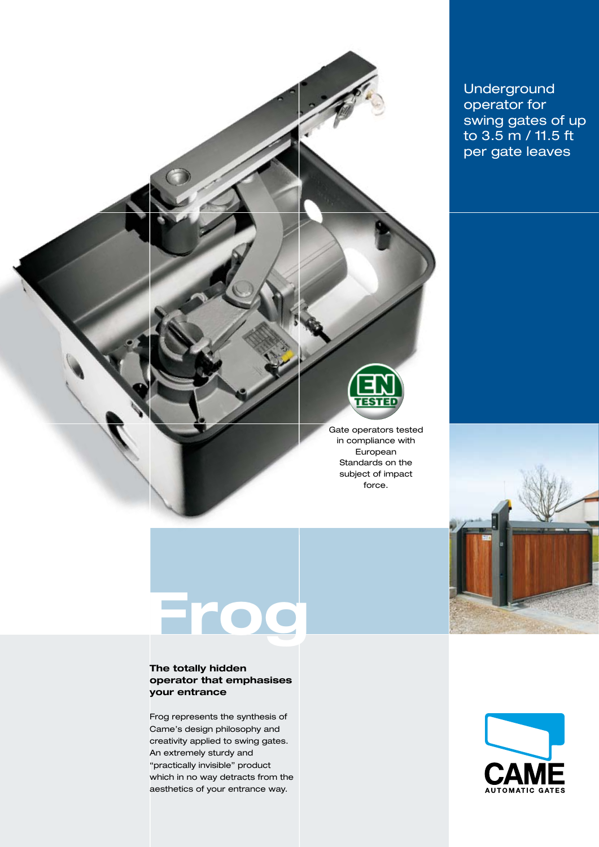

Underground operator for swing gates of up to 3.5 m / 11.5 ft per gate leaves

# **Frog**

# **The totally hidden operator that emphasises your entrance**

Frog represents the synthesis of Came's design philosophy and creativity applied to swing gates. An extremely sturdy and "practically invisible" product which in no way detracts from the aesthetics of your entrance way.

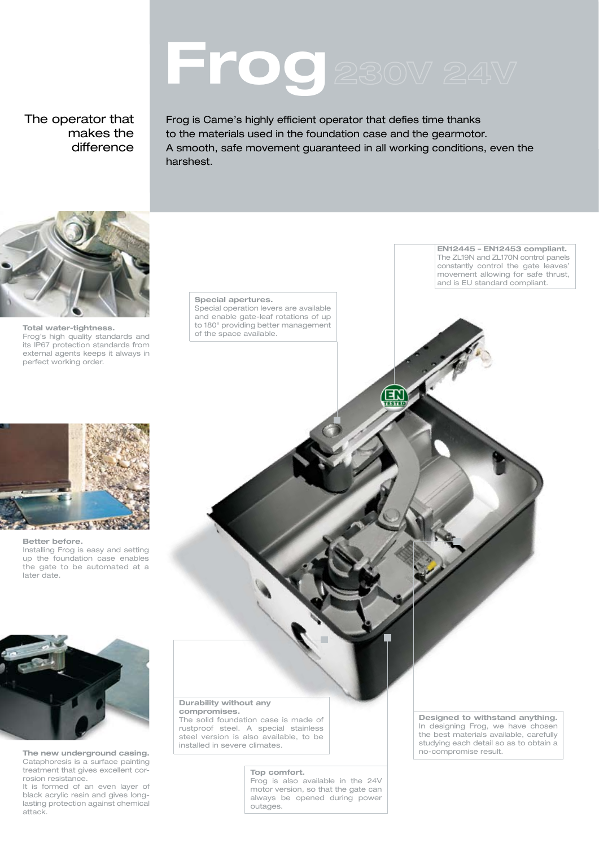# **Frog**

The operator that makes the difference

Frog is Came's highly efficient operator that defies time thanks to the materials used in the foundation case and the gearmotor. A smooth, safe movement guaranteed in all working conditions, even the harshest.

 $\bigoplus_{n=0}^\infty$ 



# **Total water-tightness.**<br> **Frog's high quality standards and finally standards and finally of the space available.** its IP67 protection standards from external agents keeps it always in perfect working order.

#### **Special apertures.**

Special operation levers are available and enable gate-leaf rotations of up to 180° providing better management<br>of the space available. **EN12445 – EN12453 compliant.**  The ZL19N and ZL170N control panels constantly control the gate leaves' movement allowing for safe thrust, and is EU standard compliant.



#### **Better before.**

Installing Frog is easy and setting up the foundation case enables the gate to be automated at a later date.



**The new underground casing.** Cataphoresis is a surface painting treatment that gives excellent corrosion resistance.

It is formed of an even layer of black acrylic resin and gives longlasting protection against chemical attack.

#### **Durability without any compromises.**

The solid foundation case is made of rustproof steel. A special stainless steel version is also available, to be installed in severe climates.

#### **Top comfort.**

Frog is also available in the 24V motor version, so that the gate can always be opened during power outages.

**Designed to withstand anything.**  In designing Frog, we have chosen the best materials available, carefully studying each detail so as to obtain a no-compromise result.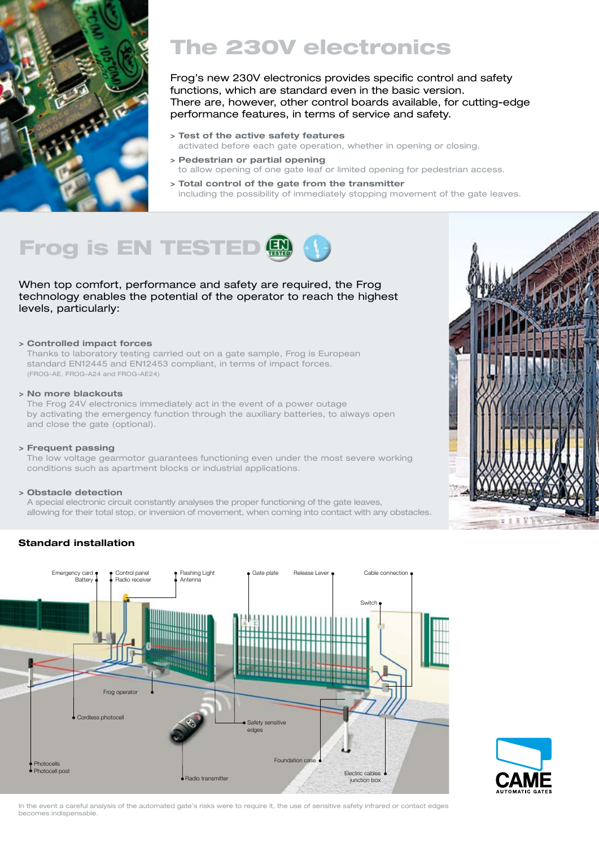

# The 230V electronics

functions, which are standard even in the basic version. There are, however, other control boards available, for cutting-edge performance features, in terms of service and safety.

- **> Test of the active safety features** activated before each gate operation, whether in opening or closing.
- **> Pedestrian or partial opening**  to allow opening of one gate leaf or limited opening for pedestrian access.
- **> Total control of the gate from the transmitter**  including the possibility of immediately stopping movement of the gate leaves.



When top comfort, performance and safety are required, the Frog technology enables the potential of the operator to reach the highest levels, particularly:

# **> Controlled impact forces**

Thanks to laboratory testing carried out on a gate sample, Frog is European standard EN12445 and EN12453 compliant, in terms of impact forces. (FROG-AE, FROG-A24 and FROG-AE24)

# **> No more blackouts**

The Frog 24V electronics immediately act in the event of a power outage by activating the emergency function through the auxiliary batteries, to always open and close the gate (optional).

# **> Frequent passing**

The low voltage gearmotor guarantees functioning even under the most severe working conditions such as apartment blocks or industrial applications.

# **> Obstacle detection**

A special electronic circuit constantly analyses the proper functioning of the gate leaves, allowing for their total stop, or inversion of movement, when coming into contact with any obstacles.

# **Standard installation**



In the event a careful analysis of the automated gate's risks were to require it, the use of sensitive safety infrared or contact edges becomes indispensable.